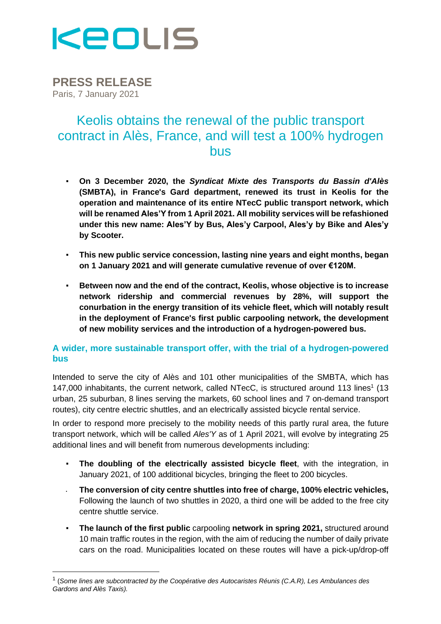

**PRESS RELEASE** Paris, 7 January 2021

# Keolis obtains the renewal of the public transport contract in Alès, France, and will test a 100% hydrogen bus

- **On 3 December 2020, the** *Syndicat Mixte des Transports du Bassin d'Alès* **(SMBTA), in France's Gard department, renewed its trust in Keolis for the operation and maintenance of its entire NTecC public transport network, which will be renamed Ales'Y from 1 April 2021. All mobility services will be refashioned under this new name: Ales'Y by Bus, Ales'y Carpool, Ales'y by Bike and Ales'y by Scooter.**
- **This new public service concession, lasting nine years and eight months, began on 1 January 2021 and will generate cumulative revenue of over €120M.**
- **Between now and the end of the contract, Keolis, whose objective is to increase network ridership and commercial revenues by 28%, will support the conurbation in the energy transition of its vehicle fleet, which will notably result in the deployment of France's first public carpooling network, the development of new mobility services and the introduction of a hydrogen-powered bus.**

## **A wider, more sustainable transport offer, with the trial of a hydrogen-powered bus**

Intended to serve the city of Alès and 101 other municipalities of the SMBTA, which has 147,000 inhabitants, the current network, called NTecC, is structured around 113 lines<sup>1</sup> (13 urban, 25 suburban, 8 lines serving the markets, 60 school lines and 7 on-demand transport routes), city centre electric shuttles, and an electrically assisted bicycle rental service.

In order to respond more precisely to the mobility needs of this partly rural area, the future transport network, which will be called *Ales'Y* as of 1 April 2021, will evolve by integrating 25 additional lines and will benefit from numerous developments including:

- **The doubling of the electrically assisted bicycle fleet**, with the integration, in January 2021, of 100 additional bicycles, bringing the fleet to 200 bicycles.
- **The conversion of city centre shuttles into free of charge, 100% electric vehicles,** Following the launch of two shuttles in 2020, a third one will be added to the free city centre shuttle service.
- **The launch of the first public** carpooling **network in spring 2021,** structured around 10 main traffic routes in the region, with the aim of reducing the number of daily private cars on the road. Municipalities located on these routes will have a pick-up/drop-off

<sup>1</sup> (*Some lines are subcontracted by the Coopérative des Autocaristes Réunis (C.A.R), Les Ambulances des Gardons and Alès Taxis).*